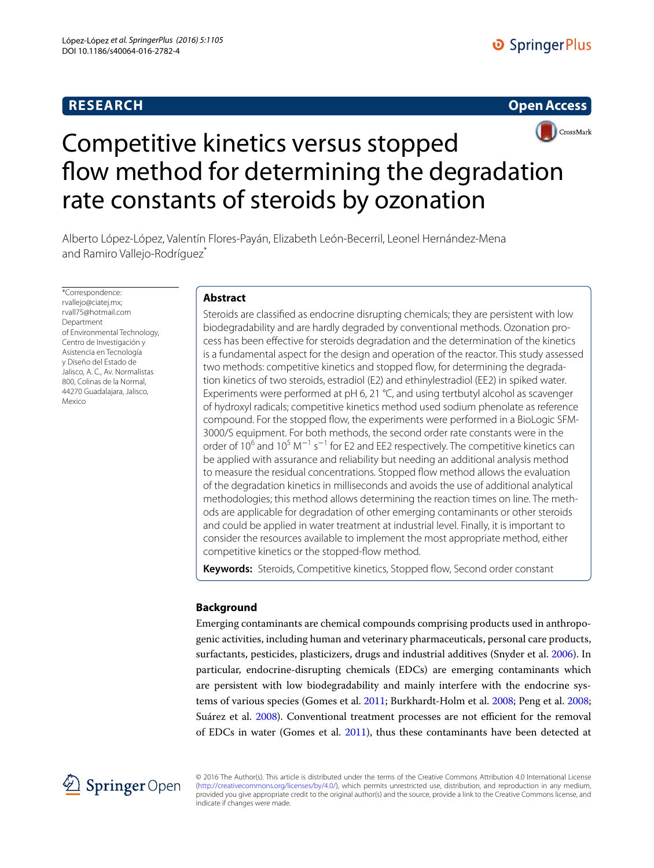# **RESEARCH**





# Competitive kinetics versus stopped flow method for determining the degradation rate constants of steroids by ozonation

Alberto López‑López, Valentín Flores‑Payán, Elizabeth León‑Becerril, Leonel Hernández‑Mena and Ramiro Vallejo-Rodríguez<sup>®</sup>

\*Correspondence: rvallejo@ciatej.mx; rvall75@hotmail.com **Department** of Environmental Technology, Centro de Investigación y Asistencia en Tecnología y Diseño del Estado de Jalisco, A. C., Av. Normalistas 800, Colinas de la Normal, 44270 Guadalajara, Jalisco, Mexico

# **Abstract**

Steroids are classified as endocrine disrupting chemicals; they are persistent with low biodegradability and are hardly degraded by conventional methods. Ozonation process has been effective for steroids degradation and the determination of the kinetics is a fundamental aspect for the design and operation of the reactor. This study assessed two methods: competitive kinetics and stopped flow, for determining the degradation kinetics of two steroids, estradiol (E2) and ethinylestradiol (EE2) in spiked water. Experiments were performed at pH 6, 21 °C, and using tertbutyl alcohol as scavenger of hydroxyl radicals; competitive kinetics method used sodium phenolate as reference compound. For the stopped flow, the experiments were performed in a BioLogic SFM-3000/S equipment. For both methods, the second order rate constants were in the order of 10<sup>6</sup> and 10<sup>5</sup> M<sup>−1</sup> s<sup>−1</sup> for E2 and EE2 respectively. The competitive kinetics can be applied with assurance and reliability but needing an additional analysis method to measure the residual concentrations. Stopped flow method allows the evaluation of the degradation kinetics in milliseconds and avoids the use of additional analytical methodologies; this method allows determining the reaction times on line. The methods are applicable for degradation of other emerging contaminants or other steroids and could be applied in water treatment at industrial level. Finally, it is important to consider the resources available to implement the most appropriate method, either competitive kinetics or the stopped-flow method.

**Keywords:** Steroids, Competitive kinetics, Stopped flow, Second order constant

# **Background**

Emerging contaminants are chemical compounds comprising products used in anthropogenic activities, including human and veterinary pharmaceuticals, personal care products, surfactants, pesticides, plasticizers, drugs and industrial additives (Snyder et al. [2006\)](#page-8-0). In particular, endocrine-disrupting chemicals (EDCs) are emerging contaminants which are persistent with low biodegradability and mainly interfere with the endocrine systems of various species (Gomes et al. [2011;](#page-7-0) Burkhardt-Holm et al. [2008;](#page-7-1) Peng et al. [2008](#page-8-1); Suárez et al. [2008](#page-8-2)). Conventional treatment processes are not efficient for the removal of EDCs in water (Gomes et al. [2011\)](#page-7-0), thus these contaminants have been detected at



© 2016 The Author(s). This article is distributed under the terms of the Creative Commons Attribution 4.0 International License [\(http://creativecommons.org/licenses/by/4.0/](http://creativecommons.org/licenses/by/4.0/)), which permits unrestricted use, distribution, and reproduction in any medium, provided you give appropriate credit to the original author(s) and the source, provide a link to the Creative Commons license, and indicate if changes were made.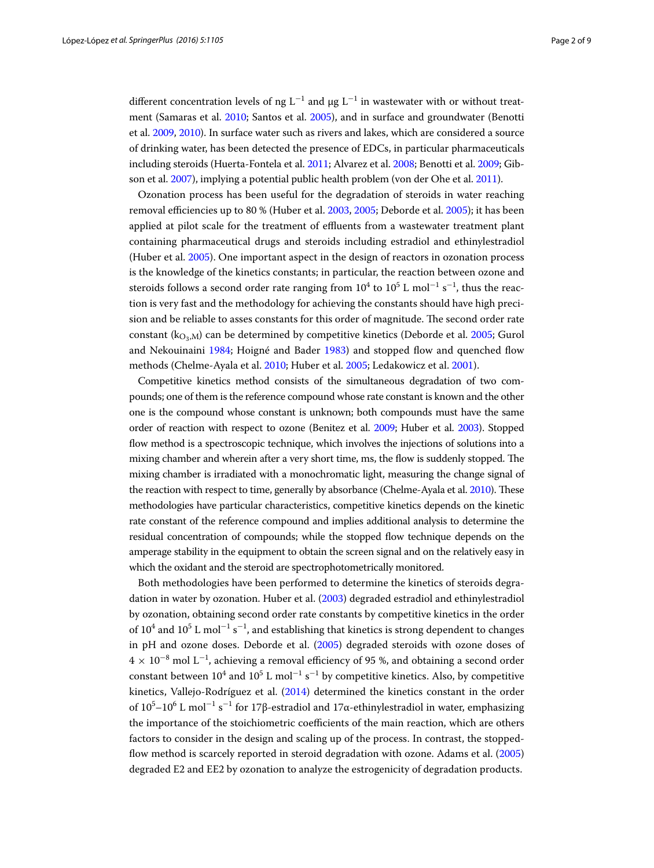different concentration levels of ng L<sup>-1</sup> and µg L<sup>-1</sup> in wastewater with or without treatment (Samaras et al. [2010](#page-8-3); Santos et al. [2005\)](#page-8-4), and in surface and groundwater (Benotti et al. [2009,](#page-7-2) [2010\)](#page-7-3). In surface water such as rivers and lakes, which are considered a source of drinking water, has been detected the presence of EDCs, in particular pharmaceuticals including steroids (Huerta-Fontela et al. [2011](#page-8-5); Alvarez et al. [2008;](#page-7-4) Benotti et al. [2009;](#page-7-2) Gibson et al. [2007\)](#page-7-5), implying a potential public health problem (von der Ohe et al. [2011](#page-8-6)).

Ozonation process has been useful for the degradation of steroids in water reaching removal efficiencies up to 80 % (Huber et al. [2003](#page-8-7), [2005](#page-8-8); Deborde et al. [2005\)](#page-7-6); it has been applied at pilot scale for the treatment of effluents from a wastewater treatment plant containing pharmaceutical drugs and steroids including estradiol and ethinylestradiol (Huber et al. [2005](#page-8-8)). One important aspect in the design of reactors in ozonation process is the knowledge of the kinetics constants; in particular, the reaction between ozone and steroids follows a second order rate ranging from  $10^4$  to  $10^5$  L mol $^{-1}$  s $^{-1}$ , thus the reaction is very fast and the methodology for achieving the constants should have high precision and be reliable to asses constants for this order of magnitude. The second order rate constant ( $k_{\text{O}_3,M}$ ) can be determined by competitive kinetics (Deborde et al. [2005;](#page-7-6) Gurol and Nekouinaini [1984](#page-7-7); Hoigné and Bader [1983](#page-7-8)) and stopped flow and quenched flow methods (Chelme-Ayala et al. [2010](#page-7-9); Huber et al. [2005;](#page-8-8) Ledakowicz et al. [2001](#page-8-9)).

Competitive kinetics method consists of the simultaneous degradation of two compounds; one of them is the reference compound whose rate constant is known and the other one is the compound whose constant is unknown; both compounds must have the same order of reaction with respect to ozone (Benitez et al. [2009;](#page-7-10) Huber et al. [2003](#page-8-7)). Stopped flow method is a spectroscopic technique, which involves the injections of solutions into a mixing chamber and wherein after a very short time, ms, the flow is suddenly stopped. The mixing chamber is irradiated with a monochromatic light, measuring the change signal of the reaction with respect to time, generally by absorbance (Chelme-Ayala et al. [2010](#page-7-9)). These methodologies have particular characteristics, competitive kinetics depends on the kinetic rate constant of the reference compound and implies additional analysis to determine the residual concentration of compounds; while the stopped flow technique depends on the amperage stability in the equipment to obtain the screen signal and on the relatively easy in which the oxidant and the steroid are spectrophotometrically monitored.

Both methodologies have been performed to determine the kinetics of steroids degradation in water by ozonation. Huber et al. [\(2003\)](#page-8-7) degraded estradiol and ethinylestradiol by ozonation, obtaining second order rate constants by competitive kinetics in the order of  $10^4$  and  $10^5$  L mol<sup>-1</sup> s<sup>-1</sup>, and establishing that kinetics is strong dependent to changes in pH and ozone doses. Deborde et al. ([2005\)](#page-7-6) degraded steroids with ozone doses of  $4 \times 10^{-8}$  mol  $L^{-1}$ , achieving a removal efficiency of 95 %, and obtaining a second order constant between  $10^4$  and  $10^5$  L mol<sup>-1</sup> s<sup>-1</sup> by competitive kinetics. Also, by competitive kinetics, Vallejo-Rodríguez et al. ([2014](#page-8-10)) determined the kinetics constant in the order of 10<sup>5</sup>−10<sup>6</sup> L mol<sup>−1</sup> s<sup>−1</sup> for 17β-estradiol and 17α-ethinylestradiol in water, emphasizing the importance of the stoichiometric coefficients of the main reaction, which are others factors to consider in the design and scaling up of the process. In contrast, the stoppedflow method is scarcely reported in steroid degradation with ozone. Adams et al. ([2005](#page-7-11)) degraded E2 and EE2 by ozonation to analyze the estrogenicity of degradation products.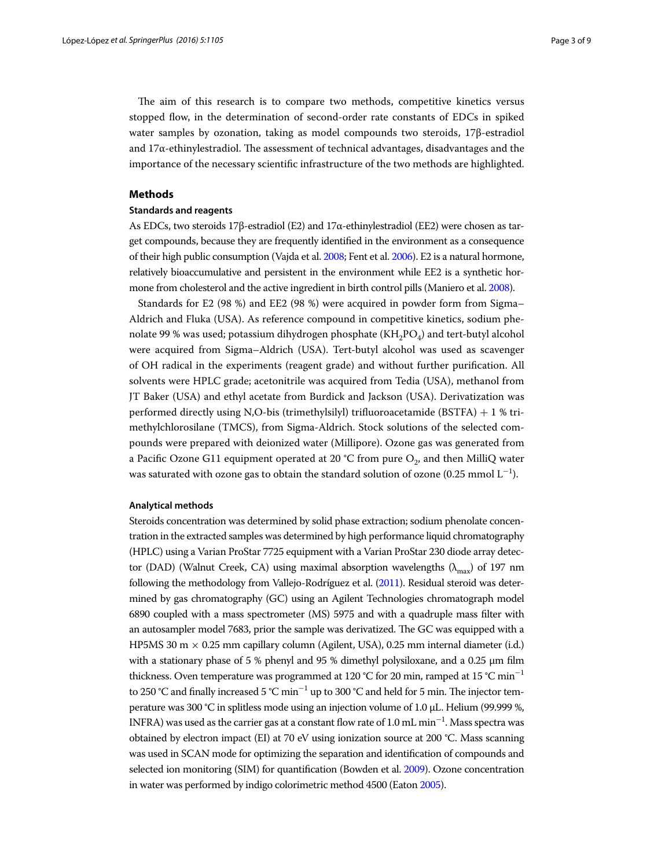The aim of this research is to compare two methods, competitive kinetics versus stopped flow, in the determination of second-order rate constants of EDCs in spiked water samples by ozonation, taking as model compounds two steroids, 17β-estradiol and  $17\alpha$ -ethinylestradiol. The assessment of technical advantages, disadvantages and the importance of the necessary scientific infrastructure of the two methods are highlighted.

### **Methods**

#### **Standards and reagents**

As EDCs, two steroids 17β-estradiol (E2) and 17α-ethinylestradiol (EE2) were chosen as target compounds, because they are frequently identified in the environment as a consequence of their high public consumption (Vajda et al. [2008;](#page-8-11) Fent et al. [2006\)](#page-7-12). E2 is a natural hormone, relatively bioaccumulative and persistent in the environment while EE2 is a synthetic hormone from cholesterol and the active ingredient in birth control pills (Maniero et al. [2008](#page-8-12)).

Standards for E2 (98 %) and EE2 (98 %) were acquired in powder form from Sigma– Aldrich and Fluka (USA). As reference compound in competitive kinetics, sodium phenolate 99 % was used; potassium dihydrogen phosphate  $(KH_2PO_4)$  and tert-butyl alcohol were acquired from Sigma–Aldrich (USA). Tert-butyl alcohol was used as scavenger of OH radical in the experiments (reagent grade) and without further purification. All solvents were HPLC grade; acetonitrile was acquired from Tedia (USA), methanol from JT Baker (USA) and ethyl acetate from Burdick and Jackson (USA). Derivatization was performed directly using N,O-bis (trimethylsilyl) trifluoroacetamide (BSTFA) + 1 % trimethylchlorosilane (TMCS), from Sigma-Aldrich. Stock solutions of the selected compounds were prepared with deionized water (Millipore). Ozone gas was generated from a Pacific Ozone G11 equipment operated at 20 °C from pure  $O_2$ , and then MilliQ water was saturated with ozone gas to obtain the standard solution of ozone (0.25 mmol  $\boldsymbol{\mathrm{L}}^{-1}$ ).

#### **Analytical methods**

Steroids concentration was determined by solid phase extraction; sodium phenolate concentration in the extracted samples was determined by high performance liquid chromatography (HPLC) using a Varian ProStar 7725 equipment with a Varian ProStar 230 diode array detector (DAD) (Walnut Creek, CA) using maximal absorption wavelengths  $(\lambda_{\text{max}})$  of 197 nm following the methodology from Vallejo-Rodríguez et al. [\(2011\)](#page-8-13). Residual steroid was determined by gas chromatography (GC) using an Agilent Technologies chromatograph model 6890 coupled with a mass spectrometer (MS) 5975 and with a quadruple mass filter with an autosampler model 7683, prior the sample was derivatized. The GC was equipped with a HP5MS 30 m  $\times$  0.25 mm capillary column (Agilent, USA), 0.25 mm internal diameter (i.d.) with a stationary phase of 5 % phenyl and 95 % dimethyl polysiloxane, and a 0.25 μm film thickness. Oven temperature was programmed at 120 °C for 20 min, ramped at 15 °C min<sup>−</sup><sup>1</sup> to 250 °C and finally increased 5 °C min $^{-1}$  up to 300 °C and held for 5 min. The injector temperature was 300 °C in splitless mode using an injection volume of 1.0 μL. Helium (99.999 %, INFRA) was used as the carrier gas at a constant flow rate of  $1.0\,\mathrm{mL}\,\mathrm{min}^{-1}.$  Mass spectra was obtained by electron impact (EI) at 70 eV using ionization source at 200 °C. Mass scanning was used in SCAN mode for optimizing the separation and identification of compounds and selected ion monitoring (SIM) for quantification (Bowden et al. [2009\)](#page-7-13). Ozone concentration in water was performed by indigo colorimetric method 4500 (Eaton [2005](#page-7-14)).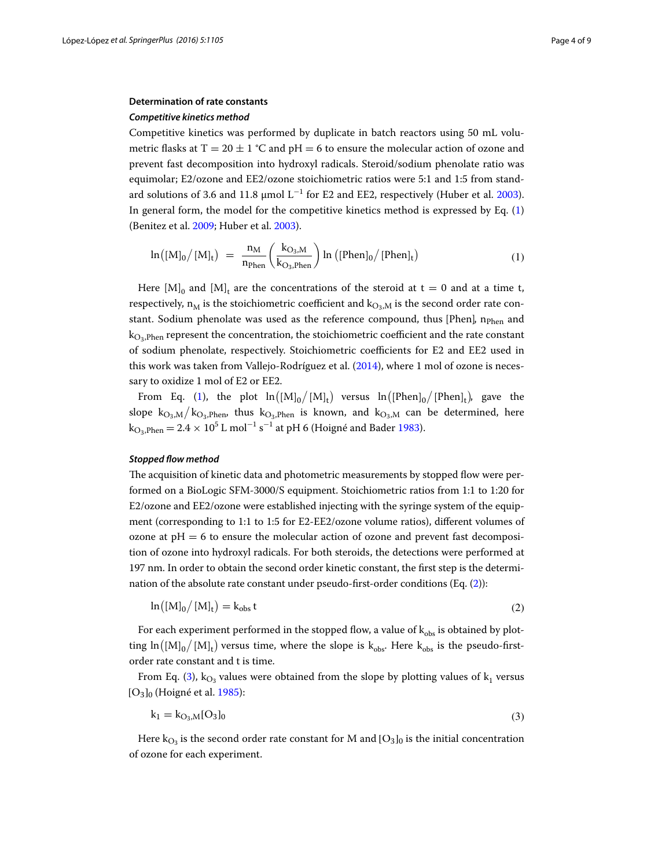## **Determination of rate constants**

#### *Competitive kinetics method*

Competitive kinetics was performed by duplicate in batch reactors using 50 mL volumetric flasks at T = 20  $\pm$  1 °C and pH = 6 to ensure the molecular action of ozone and prevent fast decomposition into hydroxyl radicals. Steroid/sodium phenolate ratio was equimolar; E2/ozone and EE2/ozone stoichiometric ratios were 5:1 and 1:5 from standard solutions of 3.6 and 11.8 µmol  $L^{-1}$  for E2 and EE2, respectively (Huber et al. [2003](#page-8-7)). In general form, the model for the competitive kinetics method is expressed by Eq. ([1](#page-3-0)) (Benitez et al. [2009](#page-7-10); Huber et al. [2003](#page-8-7)).

<span id="page-3-0"></span>
$$
\ln\left(\left[M\right]_0/\left[M\right]_t\right) = \frac{n_M}{n_{\text{Phen}}}\left(\frac{k_{\text{O}_3,M}}{k_{\text{O}_3,\text{Phen}}}\right)\ln\left(\left[\text{Phen}\right]_0/\left[\text{Phen}\right]_t\right) \tag{1}
$$

Here  $[M]_0$  and  $[M]_t$  are the concentrations of the steroid at  $t = 0$  and at a time t, respectively,  $n_M$  is the stoichiometric coefficient and  $k_{O_3,M}$  is the second order rate constant. Sodium phenolate was used as the reference compound, thus [Phen],  $n_{Phen}$  and  $k<sub>O2</sub>$ ,  $p<sub>hen</sub>$  represent the concentration, the stoichiometric coefficient and the rate constant of sodium phenolate, respectively. Stoichiometric coefficients for E2 and EE2 used in this work was taken from Vallejo-Rodríguez et al. [\(2014](#page-8-10)), where 1 mol of ozone is necessary to oxidize 1 mol of E2 or EE2.

From Eq. [\(1](#page-3-0)), the plot  $\ln([M]_0/[M]_t)$  versus  $\ln([Phen]_0/[Phen]_t)$ , gave the slope  $k_{O_3,M}/k_{O_3,Phen}$ , thus  $k_{O_3,Phen}$  is known, and  $k_{O_3,M}$  can be determined, here  $\rm{k_{O_3,Phen}} = 2.4 \times 10^5$  L mol<sup>-1</sup> s<sup>-1</sup> at pH 6 (Hoigné and Bader [1983](#page-7-8)).

# *Stopped flow method*

The acquisition of kinetic data and photometric measurements by stopped flow were performed on a BioLogic SFM-3000/S equipment. Stoichiometric ratios from 1:1 to 1:20 for E2/ozone and EE2/ozone were established injecting with the syringe system of the equipment (corresponding to 1:1 to 1:5 for E2-EE2/ozone volume ratios), different volumes of ozone at  $pH = 6$  to ensure the molecular action of ozone and prevent fast decomposition of ozone into hydroxyl radicals. For both steroids, the detections were performed at 197 nm. In order to obtain the second order kinetic constant, the first step is the determination of the absolute rate constant under pseudo-first-order conditions (Eq. [\(2\)](#page-3-1)):

<span id="page-3-1"></span>
$$
\ln\left(\left[\mathrm{M}\right]_0\right)/\left[\mathrm{M}\right]_t\right) = k_{\mathrm{obs}}\,\mathrm{t}\tag{2}
$$

For each experiment performed in the stopped flow, a value of  $k_{obs}$  is obtained by plotting  $\ln([M]_0/[M]_t)$  versus time, where the slope is  $k_{obs}$ . Here  $k_{obs}$  is the pseudo-firstorder rate constant and t is time.

From Eq. ([3\)](#page-3-2),  $k_{O_3}$  values were obtained from the slope by plotting values of  $k_1$  versus [O3]0 (Hoigné et al. [1985\)](#page-7-15):

<span id="page-3-2"></span>
$$
k_1 = k_{O_3,M} [O_3]_0 \tag{3}
$$

Here k<sub>O3</sub> is the second order rate constant for M and [O<sub>3</sub>]<sub>0</sub> is the initial concentration of ozone for each experiment.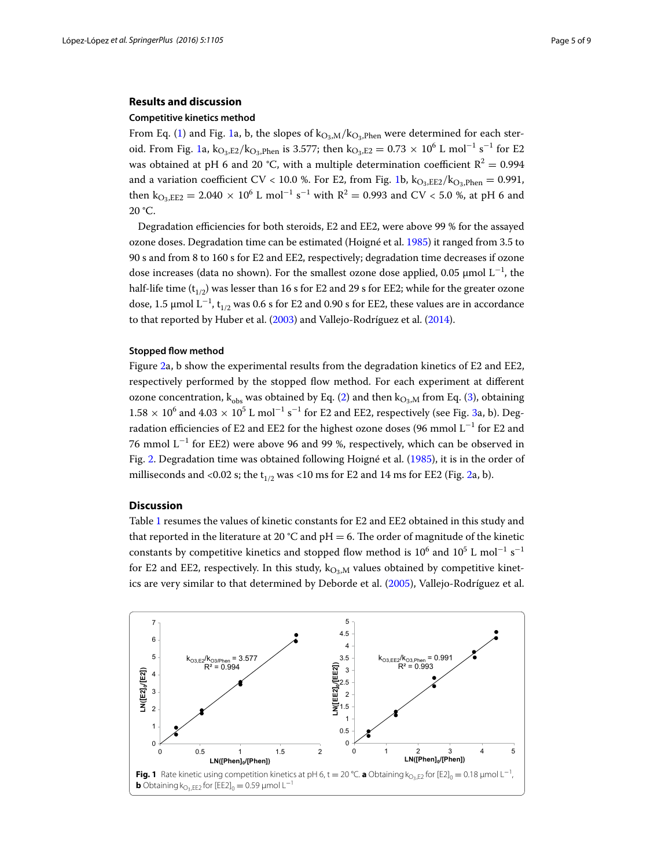# **Results and discussion**

#### **Competitive kinetics method**

From Eq. ([1](#page-4-0)) and Fig. 1a, b, the slopes of  $k_{O_3,M}/k_{O_3,Phen}$  were determined for each ster-oid. From Fig. [1a](#page-4-0),  $k_{\text{O}_3,\text{E2}}/k_{\text{O}_3,\text{Phen}}$  is 3.577; then  $k_{\text{O}_3,\text{E2}} = 0.73 \times 10^6$  L mol<sup>-1</sup> s<sup>-1</sup> for E2 was obtained at pH 6 and 20 °C, with a multiple determination coefficient  $R^2 = 0.994$ and a variation coefficient CV < 10.0 %. For E2, from Fig. [1b](#page-4-0),  $k_{\text{O}_3,EE2}/k_{\text{O}_2,Phen} = 0.991$ , then  $k_{\text{O}_3,EE2} = 2.040 \times 10^6$  L mol<sup>-1</sup> s<sup>-1</sup> with R<sup>2</sup> = 0.993 and CV < 5.0 %, at pH 6 and  $20 °C$ .

Degradation efficiencies for both steroids, E2 and EE2, were above 99 % for the assayed ozone doses. Degradation time can be estimated (Hoigné et al. [1985\)](#page-7-15) it ranged from 3.5 to 90 s and from 8 to 160 s for E2 and EE2, respectively; degradation time decreases if ozone dose increases (data no shown). For the smallest ozone dose applied, 0.05  $\mu$ mol L<sup>-1</sup>, the half-life time  $(t_{1/2})$  was lesser than 16 s for E2 and 29 s for EE2; while for the greater ozone dose, 1.5 μmol  $L^{-1}$ ,  $t_{1/2}$  was 0.6 s for E2 and 0.90 s for EE2, these values are in accordance to that reported by Huber et al. [\(2003\)](#page-8-7) and Vallejo-Rodríguez et al. ([2014](#page-8-10)).

#### **Stopped flow method**

Figure [2](#page-5-0)a, b show the experimental results from the degradation kinetics of E2 and EE2, respectively performed by the stopped flow method. For each experiment at different ozone concentration,  $k_{obs}$  was obtained by Eq. ([2\)](#page-3-1) and then  $k_{Os,M}$  from Eq. ([3\)](#page-3-2), obtaining  $1.58 \times 10^6$  and  $4.03 \times 10^5$  L mol<sup>-1</sup> s<sup>-1</sup> for E2 and EE2, respectively (see Fig. [3a](#page-5-1), b). Degradation efficiencies of E2 and EE2 for the highest ozone doses (96 mmol  $\rm L^{-1}$  for E2 and 76 mmol L−<sup>1</sup> for EE2) were above 96 and 99 %, respectively, which can be observed in Fig. [2.](#page-5-0) Degradation time was obtained following Hoigné et al. ([1985](#page-7-15)), it is in the order of milliseconds and <0.02 s; the  $t_{1/2}$  was <10 ms for E2 and 14 ms for EE2 (Fig. [2](#page-5-0)a, b).

#### **Discussion**

Table [1](#page-6-0) resumes the values of kinetic constants for E2 and EE2 obtained in this study and that reported in the literature at 20 °C and pH = 6. The order of magnitude of the kinetic constants by competitive kinetics and stopped flow method is  $10^6$  and  $10^5$  L mol<sup>-1</sup> s<sup>-1</sup> for E2 and EE2, respectively. In this study,  $k_{\text{O}_3,M}$  values obtained by competitive kinetics are very similar to that determined by Deborde et al. ([2005\)](#page-7-6), Vallejo-Rodríguez et al.

<span id="page-4-0"></span>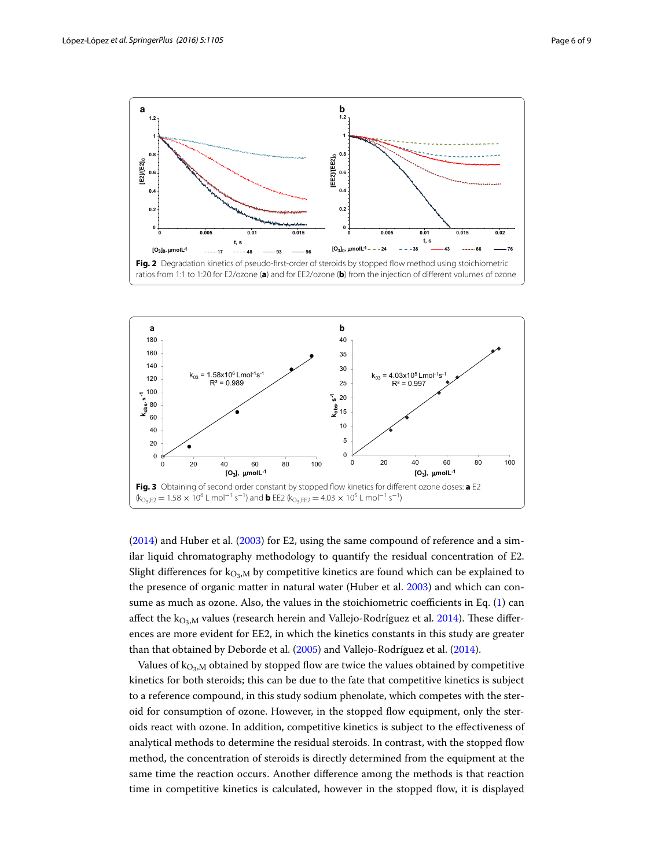

<span id="page-5-0"></span>

<span id="page-5-1"></span> $(2014)$  $(2014)$  and Huber et al.  $(2003)$  for E2, using the same compound of reference and a similar liquid chromatography methodology to quantify the residual concentration of E2. Slight differences for  $k_{\text{O}_3,M}$  by competitive kinetics are found which can be explained to the presence of organic matter in natural water (Huber et al. [2003](#page-8-7)) and which can consume as much as ozone. Also, the values in the stoichiometric coefficients in Eq. [\(1](#page-3-0)) can affect the  $k_{\text{O}_3,M}$  values (research herein and Vallejo-Rodríguez et al. [2014\)](#page-8-10). These differences are more evident for EE2, in which the kinetics constants in this study are greater than that obtained by Deborde et al. ([2005\)](#page-7-6) and Vallejo-Rodríguez et al. [\(2014\)](#page-8-10).

Values of  $k_{\text{O}_3,M}$  obtained by stopped flow are twice the values obtained by competitive kinetics for both steroids; this can be due to the fate that competitive kinetics is subject to a reference compound, in this study sodium phenolate, which competes with the steroid for consumption of ozone. However, in the stopped flow equipment, only the steroids react with ozone. In addition, competitive kinetics is subject to the effectiveness of analytical methods to determine the residual steroids. In contrast, with the stopped flow method, the concentration of steroids is directly determined from the equipment at the same time the reaction occurs. Another difference among the methods is that reaction time in competitive kinetics is calculated, however in the stopped flow, it is displayed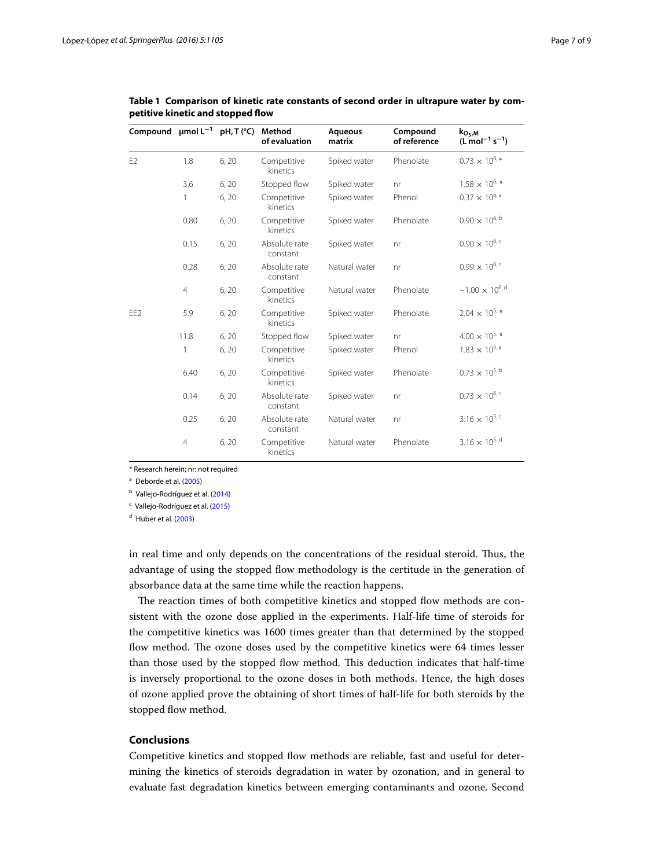| Compound $\mu$ mol L <sup>-1</sup> |                | pH, T (°C) | Method<br>of evaluation   | <b>Aqueous</b><br>matrix | Compound<br>of reference | $k_{O_3,M}$<br>$(L \text{ mol}^{-1} \text{ s}^{-1})$ |
|------------------------------------|----------------|------------|---------------------------|--------------------------|--------------------------|------------------------------------------------------|
| E <sub>2</sub>                     | 1.8            | 6, 20      | Competitive<br>kinetics   | Spiked water             | Phenolate                | $0.73$ $\times$ $10^{6}$ $\hspace{-1.0mm}^{\ast}$    |
|                                    | 3.6            | 6, 20      | Stopped flow              | Spiked water             | nr                       | $1.58\times10^{6}$ *                                 |
|                                    | 1              | 6, 20      | Competitive<br>kinetics   | Spiked water             | Phenol                   | $0.37\times10^{6,\, \rm a}$                          |
|                                    | 0.80           | 6, 20      | Competitive<br>kinetics   | Spiked water             | Phenolate                | $0.90\times10^{6,\,\text{b}}$                        |
|                                    | 0.15           | 6, 20      | Absolute rate<br>constant | Spiked water             | nr                       | $0.90\times10^{6,\,c}$                               |
|                                    | 0.28           | 6,20       | Absolute rate<br>constant | Natural water            | nr                       | $0.99\times10^{6,\,c}$                               |
|                                    | $\overline{4}$ | 6, 20      | Competitive<br>kinetics   | Natural water            | Phenolate                | ${\sim}1.00$ ${\times}$ $10^{6, \, \rm d}$           |
| EE <sub>2</sub>                    | 5.9            | 6, 20      | Competitive<br>kinetics   | Spiked water             | Phenolate                | $2.04\times10^{5}$ *                                 |
|                                    | 11.8           | 6, 20      | Stopped flow              | Spiked water             | nr                       | $4.00\times10^{5}$ *                                 |
|                                    | 1              | 6, 20      | Competitive<br>kinetics   | Spiked water             | Phenol                   | $1.83\,\times\,10^{5,\,a}$                           |
|                                    | 6.40           | 6,20       | Competitive<br>kinetics   | Spiked water             | Phenolate                | $0.73\,\times\,10^{5,\,b}$                           |
|                                    | 0.14           | 6, 20      | Absolute rate<br>constant | Spiked water             | nr                       | $0.73 \times 10^{6, c}$                              |
|                                    | 0.25           | 6, 20      | Absolute rate<br>constant | Natural water            | nr                       | $3.16 \times 10^{5, c}$                              |
|                                    | $\overline{4}$ | 6, 20      | Competitive<br>kinetics   | Natural water            | Phenolate                | $3.16 \times 10^{5, d}$                              |

<span id="page-6-0"></span>**Table 1 Comparison of kinetic rate constants of second order in ultrapure water by competitive kinetic and stopped flow**

\* Research herein; nr: not required

<sup>a</sup> Deborde et al. ([2005](#page-7-6))

**b** Vallejo-Rodríguez et al. ([2014](#page-8-10))

<sup>c</sup> Vallejo-Rodríguez et al. [\(2015\)](#page-8-14)

 $d$  Huber et al. ([2003](#page-8-7))

in real time and only depends on the concentrations of the residual steroid. Thus, the advantage of using the stopped flow methodology is the certitude in the generation of absorbance data at the same time while the reaction happens.

The reaction times of both competitive kinetics and stopped flow methods are consistent with the ozone dose applied in the experiments. Half-life time of steroids for the competitive kinetics was 1600 times greater than that determined by the stopped flow method. The ozone doses used by the competitive kinetics were 64 times lesser than those used by the stopped flow method. This deduction indicates that half-time is inversely proportional to the ozone doses in both methods. Hence, the high doses of ozone applied prove the obtaining of short times of half-life for both steroids by the stopped flow method.

# **Conclusions**

Competitive kinetics and stopped flow methods are reliable, fast and useful for determining the kinetics of steroids degradation in water by ozonation, and in general to evaluate fast degradation kinetics between emerging contaminants and ozone. Second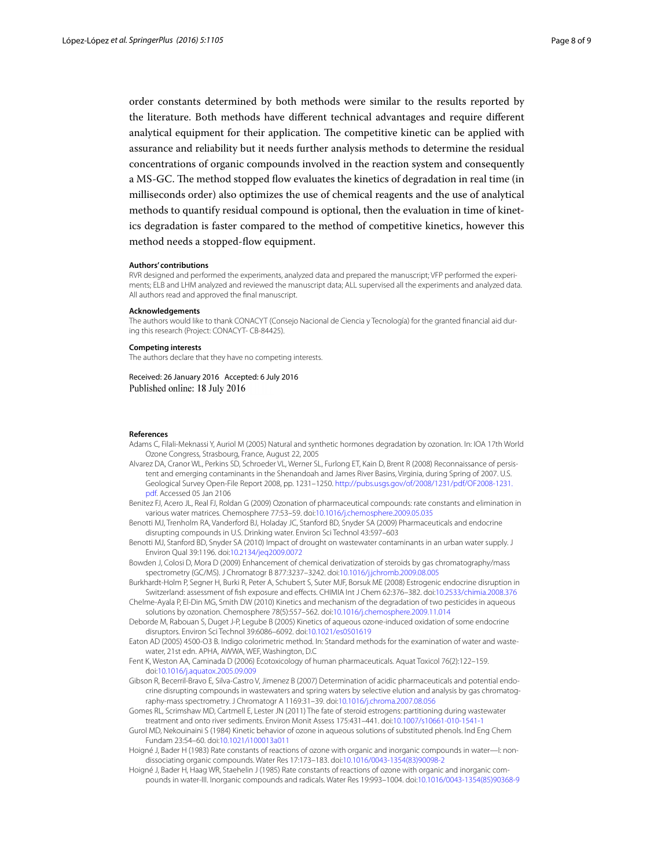order constants determined by both methods were similar to the results reported by the literature. Both methods have different technical advantages and require different analytical equipment for their application. The competitive kinetic can be applied with assurance and reliability but it needs further analysis methods to determine the residual concentrations of organic compounds involved in the reaction system and consequently a MS-GC. The method stopped flow evaluates the kinetics of degradation in real time (in milliseconds order) also optimizes the use of chemical reagents and the use of analytical methods to quantify residual compound is optional, then the evaluation in time of kinetics degradation is faster compared to the method of competitive kinetics, however this method needs a stopped-flow equipment.

#### **Authors' contributions**

RVR designed and performed the experiments, analyzed data and prepared the manuscript; VFP performed the experiments; ELB and LHM analyzed and reviewed the manuscript data; ALL supervised all the experiments and analyzed data. All authors read and approved the final manuscript.

#### **Acknowledgements**

The authors would like to thank CONACYT (Consejo Nacional de Ciencia y Tecnología) for the granted financial aid dur‑ ing this research (Project: CONACYT- CB-84425).

#### **Competing interests**

The authors declare that they have no competing interests.

Received: 26 January 2016 Accepted: 6 July 2016 Published online: 18 July 2016

#### **References**

- <span id="page-7-11"></span>Adams C, Filali-Meknassi Y, Auriol M (2005) Natural and synthetic hormones degradation by ozonation. In: IOA 17th World Ozone Congress, Strasbourg, France, August 22, 2005
- <span id="page-7-4"></span>Alvarez DA, Cranor WL, Perkins SD, Schroeder VL, Werner SL, Furlong ET, Kain D, Brent R (2008) Reconnaissance of persis‑ tent and emerging contaminants in the Shenandoah and James River Basins, Virginia, during Spring of 2007. U.S. Geological Survey Open-File Report 2008, pp. 1231–1250. [http://pubs.usgs.gov/of/2008/1231/pdf/OF2008-1231.](http://pubs.usgs.gov/of/2008/1231/pdf/OF2008-1231.pdf) [pdf.](http://pubs.usgs.gov/of/2008/1231/pdf/OF2008-1231.pdf) Accessed 05 Jan 2106
- <span id="page-7-10"></span>Benitez FJ, Acero JL, Real FJ, Roldan G (2009) Ozonation of pharmaceutical compounds: rate constants and elimination in various water matrices. Chemosphere 77:53–59. doi:[10.1016/j.chemosphere.2009.05.035](http://dx.doi.org/10.1016/j.chemosphere.2009.05.035)
- <span id="page-7-2"></span>Benotti MJ, Trenholm RA, Vanderford BJ, Holaday JC, Stanford BD, Snyder SA (2009) Pharmaceuticals and endocrine disrupting compounds in U.S. Drinking water. Environ Sci Technol 43:597–603
- <span id="page-7-3"></span>Benotti MJ, Stanford BD, Snyder SA (2010) Impact of drought on wastewater contaminants in an urban water supply. J Environ Qual 39:1196. doi:[10.2134/jeq2009.0072](http://dx.doi.org/10.2134/jeq2009.0072)
- <span id="page-7-13"></span>Bowden J, Colosi D, Mora D (2009) Enhancement of chemical derivatization of steroids by gas chromatography/mass spectrometry (GC/MS). J Chromatogr B 877:3237–3242. doi[:10.1016/j.jchromb.2009.08.005](http://dx.doi.org/10.1016/j.jchromb.2009.08.005)
- <span id="page-7-1"></span>Burkhardt-Holm P, Segner H, Burki R, Peter A, Schubert S, Suter MJF, Borsuk ME (2008) Estrogenic endocrine disruption in Switzerland: assessment of fish exposure and effects. CHIMIA Int J Chem 62:376–382. doi:[10.2533/chimia.2008.376](http://dx.doi.org/10.2533/chimia.2008.376)
- <span id="page-7-9"></span>Chelme-Ayala P, El-Din MG, Smith DW (2010) Kinetics and mechanism of the degradation of two pesticides in aqueous solutions by ozonation. Chemosphere 78(5):557–562. doi[:10.1016/j.chemosphere.2009.11.014](http://dx.doi.org/10.1016/j.chemosphere.2009.11.014)
- <span id="page-7-6"></span>Deborde M, Rabouan S, Duget J-P, Legube B (2005) Kinetics of aqueous ozone-induced oxidation of some endocrine disruptors. Environ Sci Technol 39:6086–6092. doi[:10.1021/es0501619](http://dx.doi.org/10.1021/es0501619)
- <span id="page-7-14"></span>Eaton AD (2005) 4500-O3 B. Indigo colorimetric method. In: Standard methods for the examination of water and wastewater, 21st edn. APHA, AWWA, WEF, Washington, D.C
- <span id="page-7-12"></span>Fent K, Weston AA, Caminada D (2006) Ecotoxicology of human pharmaceuticals. Aquat Toxicol 76(2):122–159. doi:[10.1016/j.aquatox.2005.09.009](http://dx.doi.org/10.1016/j.aquatox.2005.09.009)
- <span id="page-7-5"></span>Gibson R, Becerril-Bravo E, Silva-Castro V, Jimenez B (2007) Determination of acidic pharmaceuticals and potential endocrine disrupting compounds in wastewaters and spring waters by selective elution and analysis by gas chromatography-mass spectrometry. J Chromatogr A 1169:31–39. doi[:10.1016/j.chroma.2007.08.056](http://dx.doi.org/10.1016/j.chroma.2007.08.056)
- <span id="page-7-0"></span>Gomes RL, Scrimshaw MD, Cartmell E, Lester JN (2011) The fate of steroid estrogens: partitioning during wastewater treatment and onto river sediments. Environ Monit Assess 175:431–441. doi[:10.1007/s10661-010-1541-1](http://dx.doi.org/10.1007/s10661-010-1541-1)
- <span id="page-7-7"></span>Gurol MD, Nekouinaini S (1984) Kinetic behavior of ozone in aqueous solutions of substituted phenols. Ind Eng Chem Fundam 23:54–60. doi:[10.1021/i100013a011](http://dx.doi.org/10.1021/i100013a011)
- <span id="page-7-8"></span>Hoigné J, Bader H (1983) Rate constants of reactions of ozone with organic and inorganic compounds in water—I: nondissociating organic compounds. Water Res 17:173–183. doi[:10.1016/0043-1354\(83\)90098-2](http://dx.doi.org/10.1016/0043-1354(83)90098-2)
- <span id="page-7-15"></span>Hoigné J, Bader H, Haag WR, Staehelin J (1985) Rate constants of reactions of ozone with organic and inorganic compounds in water-III. Inorganic compounds and radicals. Water Res 19:993–1004. doi[:10.1016/0043-1354\(85\)90368-9](http://dx.doi.org/10.1016/0043-1354(85)90368-9)